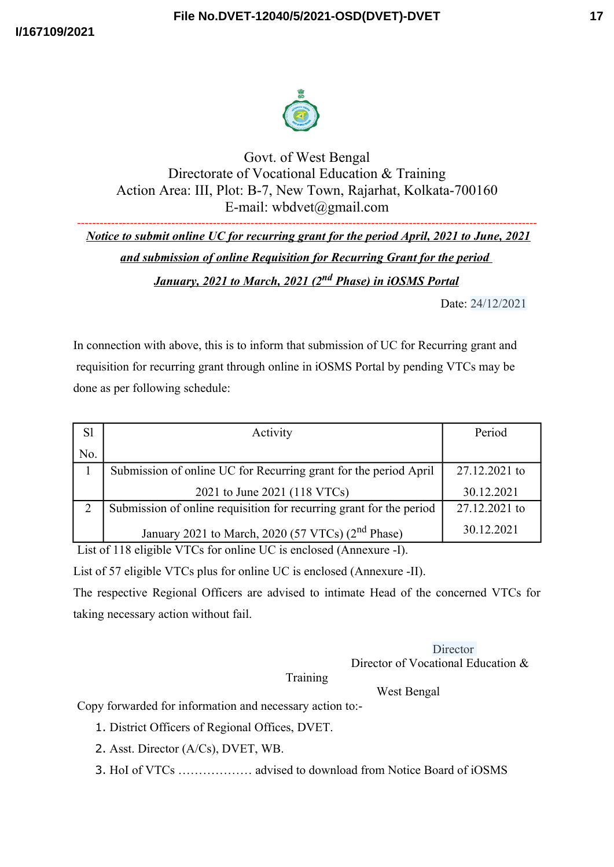



Govt. of West Bengal Directorate of Vocational Education & Training Action Area: III, Plot: B-7, New Town, Rajarhat, Kolkata-700160 E-mail: wbdvet@gmail.com

-------------------------------------------------------------------------------------------------------------------------- *Notice to submit online UC for recurring grant for the period April, 2021 to June, 2021 and submission of online Requisition for Recurring Grant for the period January, 2021 to March, 2021 (2nd Phase) in iOSMS Portal*

Date: 24/12/2021

In connection with above, this is to inform that submission of UC for Recurring grant and requisition for recurring grant through online in iOSMS Portal by pending VTCs may be done as per following schedule:

| S1  | Activity                                                            | Period        |
|-----|---------------------------------------------------------------------|---------------|
| No. |                                                                     |               |
|     | Submission of online UC for Recurring grant for the period April    | 27.12.2021 to |
|     | 2021 to June 2021 (118 VTCs)                                        | 30.12.2021    |
|     | Submission of online requisition for recurring grant for the period | 27.12.2021 to |
|     | January 2021 to March, 2020 (57 VTCs) (2 <sup>nd</sup> Phase)       | 30.12.2021    |

List of 118 eligible VTCs for online UC is enclosed (Annexure -I).

List of 57 eligible VTCs plus for online UC is enclosed (Annexure -II).

The respective Regional Officers are advised to intimate Head of the concerned VTCs for taking necessary action without fail.

> **Director** Director of Vocational Education &

## **Training**

West Bengal

Copy forwarded for information and necessary action to:-

- 1. District Officers of Regional Offices, DVET.
- 2. Asst. Director (A/Cs), DVET, WB.
- 3. HoI of VTCs ……………… advised to download from Notice Board of iOSMS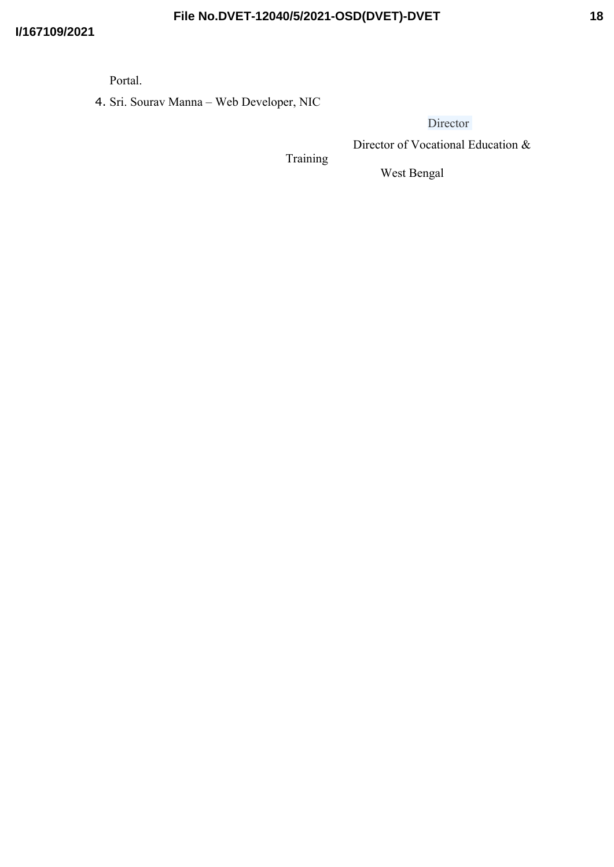Portal.

4. Sri. Sourav Manna – Web Developer, NIC

**Director** 

Director of Vocational Education &

Training

West Bengal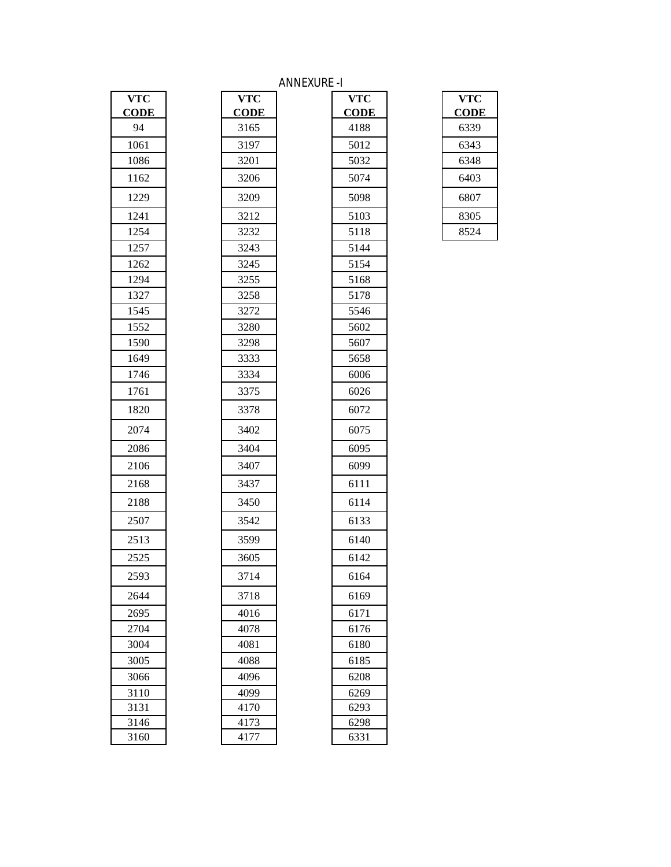## ANNEXURE -I

| $\nabla T\overline{\mathbf{C}}$ |  |
|---------------------------------|--|
| CODE                            |  |
| 94                              |  |
| 1061                            |  |
| 1086                            |  |
| 1162                            |  |
| 1229                            |  |
| 1241                            |  |
| 1254                            |  |
| 1257                            |  |
| 1262                            |  |
| 1294                            |  |
| 1327                            |  |
| 1545                            |  |
| 1552                            |  |
| 1590                            |  |
| 1649                            |  |
| 1746                            |  |
| 1761                            |  |
| 1820                            |  |
| 2074                            |  |
| 2086                            |  |
| 2106                            |  |
| 2168                            |  |
| 2188                            |  |
| 2507                            |  |
| 2513                            |  |
| 2525                            |  |
| 2593                            |  |
| 2644                            |  |
| 2695                            |  |
| 2704                            |  |
| 3004                            |  |
| 3005                            |  |
| 3066                            |  |
| 3110                            |  |
| $\frac{1}{3131}$                |  |
| 3146                            |  |
| 3160                            |  |

| <b>VTC</b>  | <b>VTC</b>  | <b>VTC</b>  | <b>VTC</b> |
|-------------|-------------|-------------|------------|
| <b>CODE</b> | <b>CODE</b> | <b>CODE</b> | <b>COD</b> |
| 94          | 3165        | 4188        | 6339       |
| 1061        | 3197        | 5012        | 6343       |
| 1086        | 3201        | 5032        | 6348       |
| 1162        | 3206        | 5074        | 6403       |
| 1229        | 3209        | 5098        | 6807       |
| 1241        | 3212        | 5103        | 8305       |
| 1254        | 3232        | 5118        | 8524       |
| 1257        | 3243        | 5144        |            |
| 1262        | 3245        | 5154        |            |
| 1294        | 3255        | 5168        |            |
| 1327        | 3258        | 5178        |            |
| 1545        | 3272        | 5546        |            |
| 1552        | 3280        | 5602        |            |
| 1590        | 3298        | 5607        |            |
| 1649        | 3333        | 5658        |            |
| 1746        | 3334        | 6006        |            |
| 1761        | 3375        | 6026        |            |
| 1820        | 3378        | 6072        |            |
| 2074        | 3402        | 6075        |            |
| 2086        | 3404        | 6095        |            |
| 2106        | 3407        | 6099        |            |
| 2168        | 3437        | 6111        |            |
| 2188        | 3450        | 6114        |            |
| 2507        | 3542        | 6133        |            |
| 2513        | 3599        | 6140        |            |
| 2525        | 3605        | 6142        |            |
| 2593        | 3714        | 6164        |            |
| 2644        | 3718        | 6169        |            |
| 2695        | 4016        | 6171        |            |
| 2704        | 4078        | 6176        |            |
| 3004        | 4081        | 6180        |            |
| 3005        | 4088        | 6185        |            |
| 3066        | 4096        | 6208        |            |
| 3110        | 4099        | 6269        |            |
| 3131        | 4170        | 6293        |            |
| 3146        | 4173        | 6298        |            |
| 3160        | 4177        | 6331        |            |

| VTC         |
|-------------|
| <b>CODE</b> |
| 6339        |
| 6343        |
| 6348        |
| 6403        |
| 6807        |
| 8305        |
| 8524        |
|             |